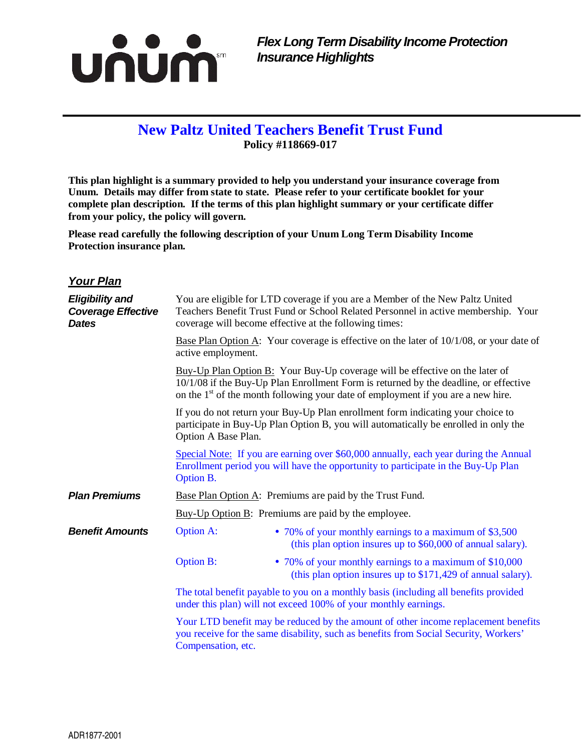

## **New Paltz United Teachers Benefit Trust Fund Policy #118669-017**

**This plan highlight is a summary provided to help you understand your insurance coverage from Unum. Details may differ from state to state. Please refer to your certificate booklet for your complete plan description. If the terms of this plan highlight summary or your certificate differ from your policy, the policy will govern.** 

**Please read carefully the following description of your Unum Long Term Disability Income Protection insurance plan.** 

## **Your Plan**

| <b>Eligibility and</b><br><b>Coverage Effective</b><br><b>Dates</b> |                                                                                                                                                                                                                                                            | You are eligible for LTD coverage if you are a Member of the New Paltz United<br>Teachers Benefit Trust Fund or School Related Personnel in active membership. Your<br>coverage will become effective at the following times: |
|---------------------------------------------------------------------|------------------------------------------------------------------------------------------------------------------------------------------------------------------------------------------------------------------------------------------------------------|-------------------------------------------------------------------------------------------------------------------------------------------------------------------------------------------------------------------------------|
|                                                                     | Base Plan Option A: Your coverage is effective on the later of $10/1/08$ , or your date of<br>active employment.                                                                                                                                           |                                                                                                                                                                                                                               |
|                                                                     | Buy-Up Plan Option B: Your Buy-Up coverage will be effective on the later of<br>10/1/08 if the Buy-Up Plan Enrollment Form is returned by the deadline, or effective<br>on the $1st$ of the month following your date of employment if you are a new hire. |                                                                                                                                                                                                                               |
|                                                                     | If you do not return your Buy-Up Plan enrollment form indicating your choice to<br>participate in Buy-Up Plan Option B, you will automatically be enrolled in only the<br>Option A Base Plan.                                                              |                                                                                                                                                                                                                               |
|                                                                     | Special Note: If you are earning over \$60,000 annually, each year during the Annual<br>Enrollment period you will have the opportunity to participate in the Buy-Up Plan<br>Option B.                                                                     |                                                                                                                                                                                                                               |
| <b>Plan Premiums</b>                                                |                                                                                                                                                                                                                                                            | Base Plan Option A: Premiums are paid by the Trust Fund.                                                                                                                                                                      |
|                                                                     | $Buy-Up$ Option $B$ : Premiums are paid by the employee.                                                                                                                                                                                                   |                                                                                                                                                                                                                               |
| <b>Benefit Amounts</b>                                              | <b>Option A:</b>                                                                                                                                                                                                                                           | • 70% of your monthly earnings to a maximum of \$3,500<br>(this plan option insures up to \$60,000 of annual salary).                                                                                                         |
|                                                                     | <b>Option B:</b>                                                                                                                                                                                                                                           | • 70% of your monthly earnings to a maximum of \$10,000<br>(this plan option insures up to \$171,429 of annual salary).                                                                                                       |
|                                                                     | The total benefit payable to you on a monthly basis (including all benefits provided<br>under this plan) will not exceed 100% of your monthly earnings.                                                                                                    |                                                                                                                                                                                                                               |
|                                                                     | Your LTD benefit may be reduced by the amount of other income replacement benefits<br>you receive for the same disability, such as benefits from Social Security, Workers'<br>Compensation, etc.                                                           |                                                                                                                                                                                                                               |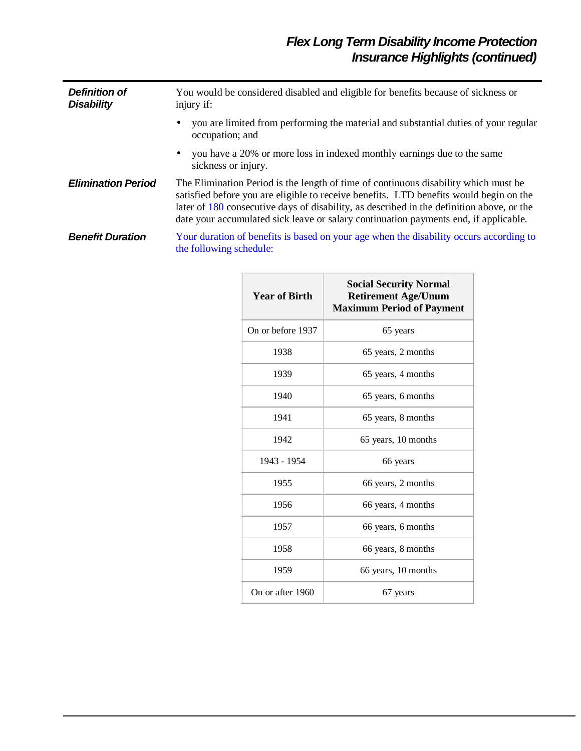| <b>Definition of</b><br><b>Disability</b> | You would be considered disabled and eligible for benefits because of sickness or<br>injury if:                                                                                                                                                                                                                                                                    |  |  |
|-------------------------------------------|--------------------------------------------------------------------------------------------------------------------------------------------------------------------------------------------------------------------------------------------------------------------------------------------------------------------------------------------------------------------|--|--|
|                                           | you are limited from performing the material and substantial duties of your regular<br>$\bullet$<br>occupation; and                                                                                                                                                                                                                                                |  |  |
|                                           | you have a 20% or more loss in indexed monthly earnings due to the same<br>$\bullet$<br>sickness or injury.                                                                                                                                                                                                                                                        |  |  |
| <b>Elimination Period</b>                 | The Elimination Period is the length of time of continuous disability which must be<br>satisfied before you are eligible to receive benefits. LTD benefits would begin on the<br>later of 180 consecutive days of disability, as described in the definition above, or the<br>date your accumulated sick leave or salary continuation payments end, if applicable. |  |  |
| <b>Benefit Duration</b>                   | Your duration of benefits is based on your age when the disability occurs according to<br>the following schedule:                                                                                                                                                                                                                                                  |  |  |

| <b>Year of Birth</b> | <b>Social Security Normal</b><br><b>Retirement Age/Unum</b><br><b>Maximum Period of Payment</b> |
|----------------------|-------------------------------------------------------------------------------------------------|
| On or before 1937    | 65 years                                                                                        |
| 1938                 | 65 years, 2 months                                                                              |
| 1939                 | 65 years, 4 months                                                                              |
| 1940                 | 65 years, 6 months                                                                              |
| 1941                 | 65 years, 8 months                                                                              |
| 1942                 | 65 years, 10 months                                                                             |
| 1943 - 1954          | 66 years                                                                                        |
| 1955                 | 66 years, 2 months                                                                              |
| 1956                 | 66 years, 4 months                                                                              |
| 1957                 | 66 years, 6 months                                                                              |
| 1958                 | 66 years, 8 months                                                                              |
| 1959                 | 66 years, 10 months                                                                             |
| On or after 1960     | 67 years                                                                                        |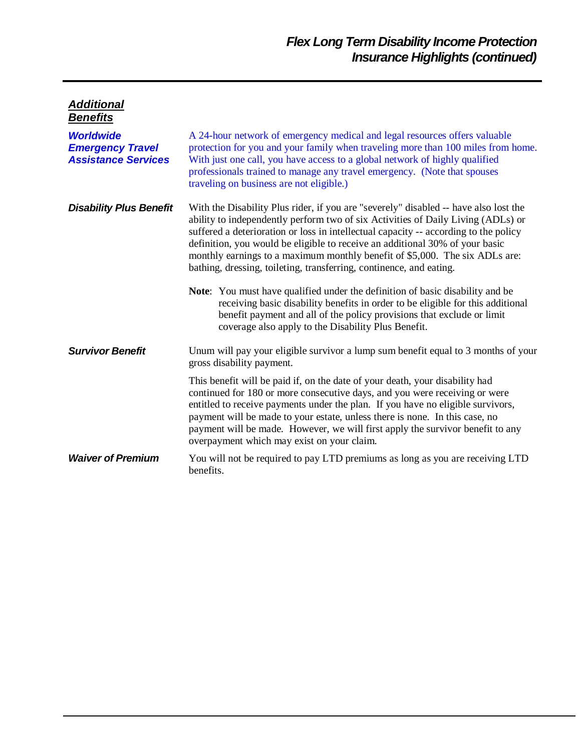| <u>Additional</u>                                                         |                                                                                                                                                                                                                                                                                                                                                                                                                                                                                                        |  |
|---------------------------------------------------------------------------|--------------------------------------------------------------------------------------------------------------------------------------------------------------------------------------------------------------------------------------------------------------------------------------------------------------------------------------------------------------------------------------------------------------------------------------------------------------------------------------------------------|--|
| <b>Benefits</b>                                                           |                                                                                                                                                                                                                                                                                                                                                                                                                                                                                                        |  |
| <b>Worldwide</b><br><b>Emergency Travel</b><br><b>Assistance Services</b> | A 24-hour network of emergency medical and legal resources offers valuable<br>protection for you and your family when traveling more than 100 miles from home.<br>With just one call, you have access to a global network of highly qualified<br>professionals trained to manage any travel emergency. (Note that spouses<br>traveling on business are not eligible.)                                                                                                                                  |  |
| <b>Disability Plus Benefit</b>                                            | With the Disability Plus rider, if you are "severely" disabled -- have also lost the<br>ability to independently perform two of six Activities of Daily Living (ADLs) or<br>suffered a deterioration or loss in intellectual capacity -- according to the policy<br>definition, you would be eligible to receive an additional 30% of your basic<br>monthly earnings to a maximum monthly benefit of \$5,000. The six ADLs are:<br>bathing, dressing, toileting, transferring, continence, and eating. |  |
|                                                                           | Note: You must have qualified under the definition of basic disability and be<br>receiving basic disability benefits in order to be eligible for this additional<br>benefit payment and all of the policy provisions that exclude or limit<br>coverage also apply to the Disability Plus Benefit.                                                                                                                                                                                                      |  |
| <b>Survivor Benefit</b>                                                   | Unum will pay your eligible survivor a lump sum benefit equal to 3 months of your<br>gross disability payment.                                                                                                                                                                                                                                                                                                                                                                                         |  |
|                                                                           | This benefit will be paid if, on the date of your death, your disability had<br>continued for 180 or more consecutive days, and you were receiving or were<br>entitled to receive payments under the plan. If you have no eligible survivors,<br>payment will be made to your estate, unless there is none. In this case, no<br>payment will be made. However, we will first apply the survivor benefit to any<br>overpayment which may exist on your claim.                                           |  |
| <b>Waiver of Premium</b>                                                  | You will not be required to pay LTD premiums as long as you are receiving LTD<br>benefits.                                                                                                                                                                                                                                                                                                                                                                                                             |  |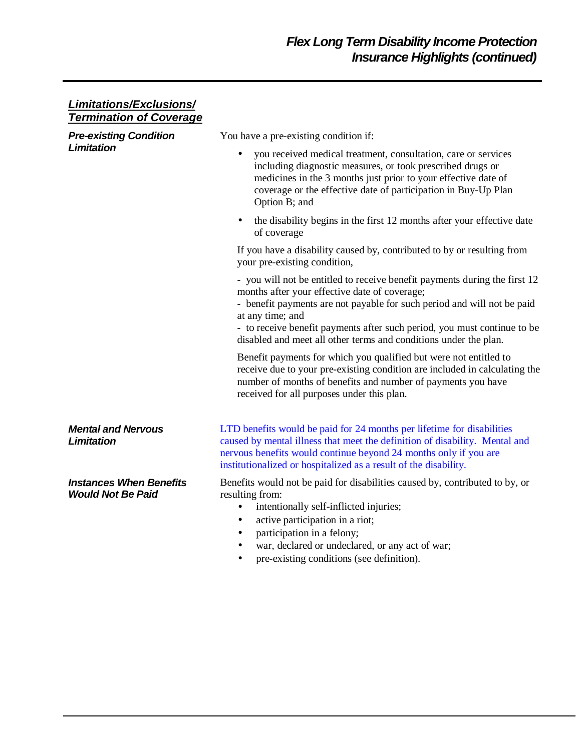## **Limitations/Exclusions/ Termination of Coverage Pre-existing Condition Limitation**  You have a pre-existing condition if: • you received medical treatment, consultation, care or services including diagnostic measures, or took prescribed drugs or medicines in the 3 months just prior to your effective date of coverage or the effective date of participation in Buy-Up Plan Option B; and • the disability begins in the first 12 months after your effective date of coverage If you have a disability caused by, contributed to by or resulting from your pre-existing condition, - you will not be entitled to receive benefit payments during the first 12 months after your effective date of coverage; - benefit payments are not payable for such period and will not be paid at any time; and - to receive benefit payments after such period, you must continue to be disabled and meet all other terms and conditions under the plan. Benefit payments for which you qualified but were not entitled to receive due to your pre-existing condition are included in calculating the number of months of benefits and number of payments you have received for all purposes under this plan. **Mental and Nervous Limitation**  LTD benefits would be paid for 24 months per lifetime for disabilities caused by mental illness that meet the definition of disability. Mental and nervous benefits would continue beyond 24 months only if you are institutionalized or hospitalized as a result of the disability. **Instances When Benefits Would Not Be Paid**  Benefits would not be paid for disabilities caused by, contributed to by, or resulting from: • intentionally self-inflicted injuries; active participation in a riot; participation in a felony; war, declared or undeclared, or any act of war; • pre-existing conditions (see definition).